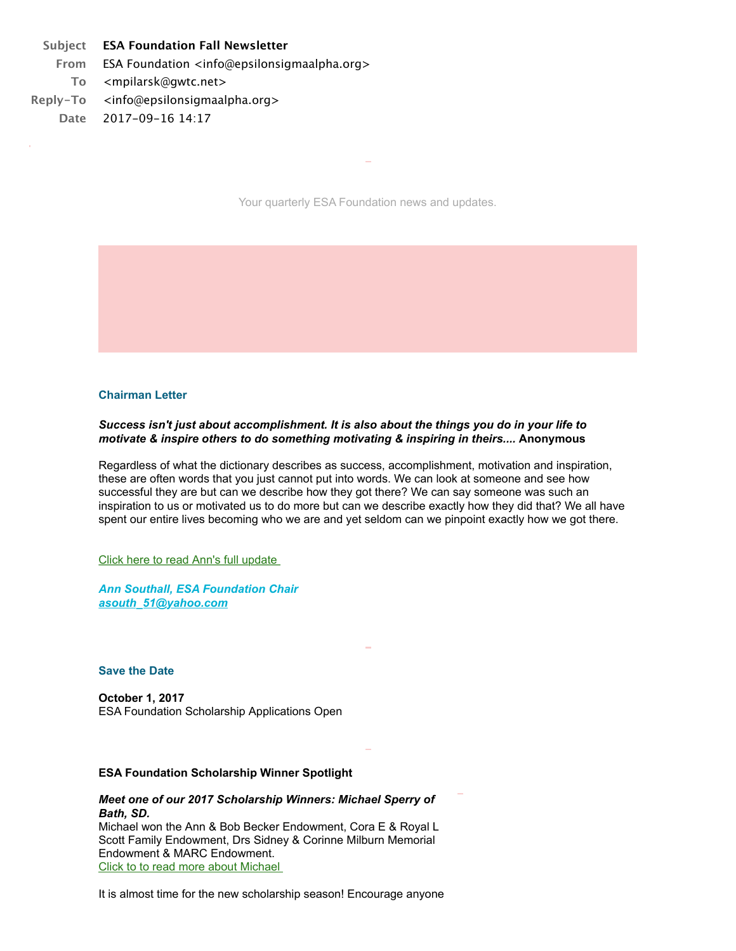# **Subject ESA Foundation Fall Newsletter**

**From** ESA Foundation <info@epsilonsigmaalpha.org> **To** <mpilarsk@gwtc.net> **Reply-To** <info@epsilonsigmaalpha.org> **Date** 2017-09-16 14:17

Your quarterly ESA Foundation news and updates.

#### **Chairman Letter**

#### *Success isn't just about accomplishment. It is also about the things you do in your life to motivate & inspire others to do something motivating & inspiring in theirs....* **Anonymous**

Regardless of what the dictionary describes as success, accomplishment, motivation and inspiration, these are often words that you just cannot put into words. We can look at someone and see how successful they are but can we describe how they got there? We can say someone was such an inspiration to us or motivated us to do more but can we describe exactly how they did that? We all have spent our entire lives becoming who we are and yet seldom can we pinpoint exactly how we got there.

Click here to read Ann's full update

*Ann Southall, ESA Foundation Chair [asouth\\_51@yahoo.com](mailto:asouth_51@yahoo.com)*

#### **Save the Date**

**October 1, 2017**  ESA Foundation Scholarship Applications Open

#### **ESA Foundation Scholarship Winner Spotlight**

#### *Meet one of our 2017 Scholarship Winners: Michael Sperry of Bath, SD.*

Michael won the Ann & Bob Becker Endowment, Cora E & Royal L Scott Family Endowment, Drs Sidney & Corinne Milburn Memorial Endowment & MARC Endowment. [Click to to read more about Michael](http://r20.rs6.net/tn.jsp?f=001e6bnG6BDnu9J_kqq9p3g1GPeu9JtkSpmNzrnx9j9N1CF9CXQKJ1BTEgaW5t1ltGNaVZhg_2sSyoG2jl6Mkbw6GdF1XrkmzIBGb3Qe8USxlYOX8zsi-tlGP6RtckOXSYuacd3a_EggofDvxeEeAcOA9BjpXAQP_BAoY5R-0tpaFT2KydXDWtvmSRysmH8hWLb27XAkyNv4dUAGeMiui5cbuM57iFDl8sWGxQPbC3bhS3kgAbI0WdyETdvTaRkD2XKfKcmuS5EG2ZWgGkUJerptg==&c=oFadDNpp_Jge-oITA6zEnO-QsJI67kNg2Ud76dLaBoVAyShTsiOH9g==&ch=VzF8qF5ddd9c5CsJclcmfeolN_-RGs7fkdAnJgZkVSiBUOOgz1fjiw==) 

It is almost time for the new scholarship season! Encourage anyone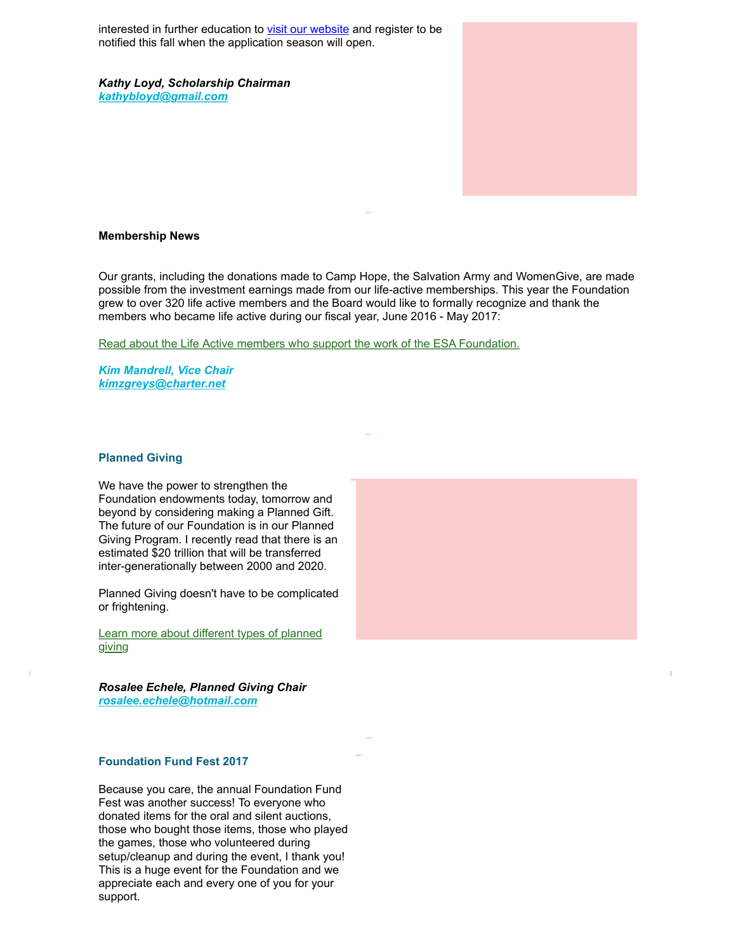interested in further education to [visit our website](http://r20.rs6.net/tn.jsp?f=001e6bnG6BDnu9J_kqq9p3g1GPeu9JtkSpmNzrnx9j9N1CF9CXQKJ1BTOgtKxZ_elGdjgLXcYtVvrPIjxp5AoztWdnC-n6XPrGLyD3o1VcaPGONgnWhMFPzum8poEKDdpvXYHFcS5_Z3OcrJdM4emA9uqZCXyX9kmE6OiHtVyA5YCUOCGbOQN7AzGT08RZHWKiv2ELhLJpi6WDIGq9D10BSGEQiH7STtp5X-Vsoo16LD0EyYN9X5g6833EafoGkXJeb1nSojYMsoIY4NqjHzKxrqg==&c=oFadDNpp_Jge-oITA6zEnO-QsJI67kNg2Ud76dLaBoVAyShTsiOH9g==&ch=VzF8qF5ddd9c5CsJclcmfeolN_-RGs7fkdAnJgZkVSiBUOOgz1fjiw==) and register to be notified this fall when the application season will open.

*Kathy Loyd, Scholarship Chairman [kathybloyd@gmail.com](mailto:kathybloyd@gmail.com)*

#### **Membership News**

Our grants, including the donations made to Camp Hope, the Salvation Army and WomenGive, are made possible from the investment earnings made from our life-active memberships. This year the Foundation grew to over 320 life active members and the Board would like to formally recognize and thank the members who became life active during our fiscal year, June 2016 - May 2017:

[Read about the Life Active members who support the work of the ESA Foundation.](http://r20.rs6.net/tn.jsp?f=001e6bnG6BDnu9J_kqq9p3g1GPeu9JtkSpmNzrnx9j9N1CF9CXQKJ1BTEgaW5t1ltGNlfI8tJYr5CF4Q3ihhlaKhTf6vnY1jJKzwFQiV-McD-cQ_Pf7TOaOHjmtb2sj1F-HK6YysUMcRN6GBs4miLg6Rthpwi3_LYceUS7LMpMuve1v0ipAg_-6D65nCvlFu3rg3Qd4tgPE8SkmeSn_P7DrpAUhN9QtIInx4MfXgENNZn74xBMATG0-dXzdpAMO-de66qFJvagS5NOusQMsUcDqu-1urakC0eiL&c=oFadDNpp_Jge-oITA6zEnO-QsJI67kNg2Ud76dLaBoVAyShTsiOH9g==&ch=VzF8qF5ddd9c5CsJclcmfeolN_-RGs7fkdAnJgZkVSiBUOOgz1fjiw==)

*Kim Mandrell, Vice Chair [kimzgreys@charter.net](mailto:kimzgreys@charter.net)*

#### **Planned Giving**

We have the power to strengthen the Foundation endowments today, tomorrow and beyond by considering making a Planned Gift. The future of our Foundation is in our Planned Giving Program. I recently read that there is an estimated \$20 trillion that will be transferred inter-generationally between 2000 and 2020.

Planned Giving doesn't have to be complicated or frightening.

[Learn more about different types of planned](http://r20.rs6.net/tn.jsp?f=001e6bnG6BDnu9J_kqq9p3g1GPeu9JtkSpmNzrnx9j9N1CF9CXQKJ1BTBTKzUBDC9QPWyIywNlmoahWinLJxjfRiFRv0wui1AfW5N-5rsCQcYtL1FCQsu51P9URv0CIA7bEkF0UUZiRUvDfhs_XOm6RKJPP02_DLNstrB8Xnv6UFcgCoSJiNI3iIpOgFCfydN4NAOkuvejrKo41erjz-9zzeIpFgrRfH4P785OGQBAK1GSu6_m_Xs2xG7um4JSadgSw&c=oFadDNpp_Jge-oITA6zEnO-QsJI67kNg2Ud76dLaBoVAyShTsiOH9g==&ch=VzF8qF5ddd9c5CsJclcmfeolN_-RGs7fkdAnJgZkVSiBUOOgz1fjiw==) giving

*Rosalee Echele, Planned Giving Chair [rosalee.echele@hotmail.com](mailto:rosalee.echele@hotmail.com)*

### **Foundation Fund Fest 2017**

Because you care, the annual Foundation Fund Fest was another success! To everyone who donated items for the oral and silent auctions, those who bought those items, those who played the games, those who volunteered during setup/cleanup and during the event, I thank you! This is a huge event for the Foundation and we appreciate each and every one of you for your support.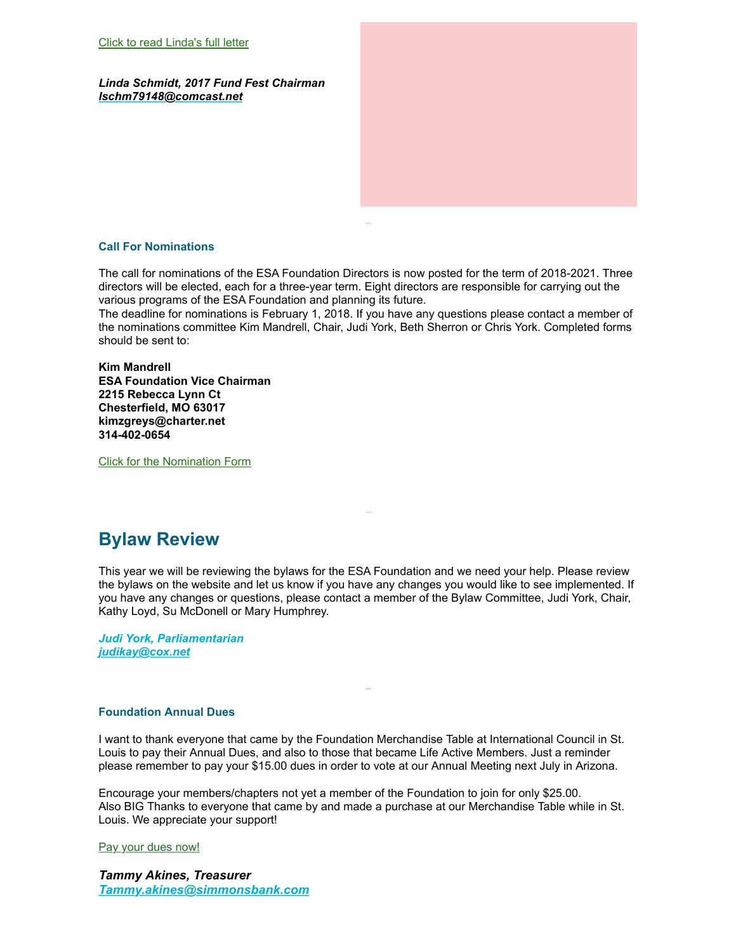*Linda Schmidt, 2017 Fund Fest Chairman [lschm79148@comcast.net](mailto:esabarbara@swbell.net)*

### **Call For Nominations**

The call for nominations of the ESA Foundation Directors is now posted for the term of 2018-2021. Three directors will be elected, each for a three-year term. Eight directors are responsible for carrying out the various programs of the ESA Foundation and planning its future.

The deadline for nominations is February 1, 2018. If you have any questions please contact a member of the nominations committee Kim Mandrell, Chair, Judi York, Beth Sherron or Chris York. Completed forms should be sent to:

**Kim Mandrell ESA Foundation Vice Chairman 2215 Rebecca Lynn Ct Chesterfield, MO 63017 kimzgreys@charter.net 314-402-0654**

[Click for the Nomination Form](http://r20.rs6.net/tn.jsp?f=001e6bnG6BDnu9J_kqq9p3g1GPeu9JtkSpmNzrnx9j9N1CF9CXQKJ1BTJ2Kn71gj4xKY5FOgQnHk_vm0UbiD_gM0ljp4VpxpihFFA0aEhUm87uCuElAs1cdX2Or8SdMi_aFYDXrnSlsUt3inzaLPHDTFFuE51CSrwLirpOV1-1dEvMIXBZI0cuaYLo7lut0ZvLvdBBdRm9AbnbsSb9Ggi6RYg==&c=oFadDNpp_Jge-oITA6zEnO-QsJI67kNg2Ud76dLaBoVAyShTsiOH9g==&ch=VzF8qF5ddd9c5CsJclcmfeolN_-RGs7fkdAnJgZkVSiBUOOgz1fjiw==)

# **Bylaw Review**

This year we will be reviewing the bylaws for the ESA Foundation and we need your help. Please review the bylaws on the website and let us know if you have any changes you would like to see implemented. If you have any changes or questions, please contact a member of the Bylaw Committee, Judi York, Chair, Kathy Loyd, Su McDonell or Mary Humphrey.

*Judi York, Parliamentarian [judikay@cox.net](mailto:judikay@cox.net)*

## **Foundation Annual Dues**

I want to thank everyone that came by the Foundation Merchandise Table at International Council in St. Louis to pay their Annual Dues, and also to those that became Life Active Members. Just a reminder please remember to pay your \$15.00 dues in order to vote at our Annual Meeting next July in Arizona.

Encourage your members/chapters not yet a member of the Foundation to join for only \$25.00. Also BIG Thanks to everyone that came by and made a purchase at our Merchandise Table while in St. Louis. We appreciate your support!

[Pay your dues now!](http://r20.rs6.net/tn.jsp?f=001e6bnG6BDnu9J_kqq9p3g1GPeu9JtkSpmNzrnx9j9N1CF9CXQKJ1BTJ2Kn71gj4xKlFIEG5aMJwOumsgOKRbHfnt3bwdlMGUmPIvywHkptY2AGlAs6TMqNb5b-UE7mInQCykq01y01T86VSVMWytqr-HB5dzR1wAA5YXtUH9YI0b6_oAdDQn1b-5VrHup3HfJHRa23YhPweSikkmt9Yz-R1OGZ1wz3B2lePeWMDFpq3Yg4SY01teJ7XuGaPwFxcEGBz7awniVS7XM4mIRkNERZkrf8XXjDgzl&c=oFadDNpp_Jge-oITA6zEnO-QsJI67kNg2Ud76dLaBoVAyShTsiOH9g==&ch=VzF8qF5ddd9c5CsJclcmfeolN_-RGs7fkdAnJgZkVSiBUOOgz1fjiw==)

*Tammy Akines, Treasurer [Tammy.akines@simmonsbank.com](mailto:Tammy.akines@simmonsbank.com)*